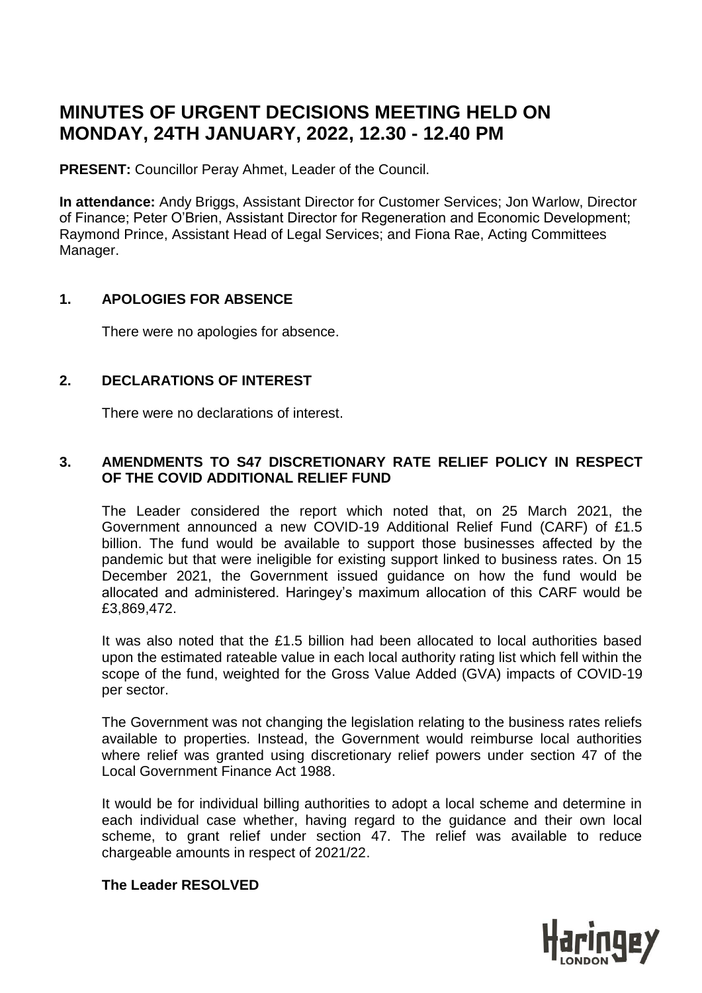# **MINUTES OF URGENT DECISIONS MEETING HELD ON MONDAY, 24TH JANUARY, 2022, 12.30 - 12.40 PM**

**PRESENT:** Councillor Peray Ahmet, Leader of the Council.

**In attendance:** Andy Briggs, Assistant Director for Customer Services; Jon Warlow, Director of Finance; Peter O'Brien, Assistant Director for Regeneration and Economic Development; Raymond Prince, Assistant Head of Legal Services; and Fiona Rae, Acting Committees Manager.

# **1. APOLOGIES FOR ABSENCE**

There were no apologies for absence.

# **2. DECLARATIONS OF INTEREST**

There were no declarations of interest.

# **3. AMENDMENTS TO S47 DISCRETIONARY RATE RELIEF POLICY IN RESPECT OF THE COVID ADDITIONAL RELIEF FUND**

The Leader considered the report which noted that, on 25 March 2021, the Government announced a new COVID-19 Additional Relief Fund (CARF) of £1.5 billion. The fund would be available to support those businesses affected by the pandemic but that were ineligible for existing support linked to business rates. On 15 December 2021, the Government issued guidance on how the fund would be allocated and administered. Haringey's maximum allocation of this CARF would be £3,869,472.

It was also noted that the £1.5 billion had been allocated to local authorities based upon the estimated rateable value in each local authority rating list which fell within the scope of the fund, weighted for the Gross Value Added (GVA) impacts of COVID-19 per sector.

The Government was not changing the legislation relating to the business rates reliefs available to properties. Instead, the Government would reimburse local authorities where relief was granted using discretionary relief powers under section 47 of the Local Government Finance Act 1988.

It would be for individual billing authorities to adopt a local scheme and determine in each individual case whether, having regard to the guidance and their own local scheme, to grant relief under section 47. The relief was available to reduce chargeable amounts in respect of 2021/22.

# **The Leader RESOLVED**

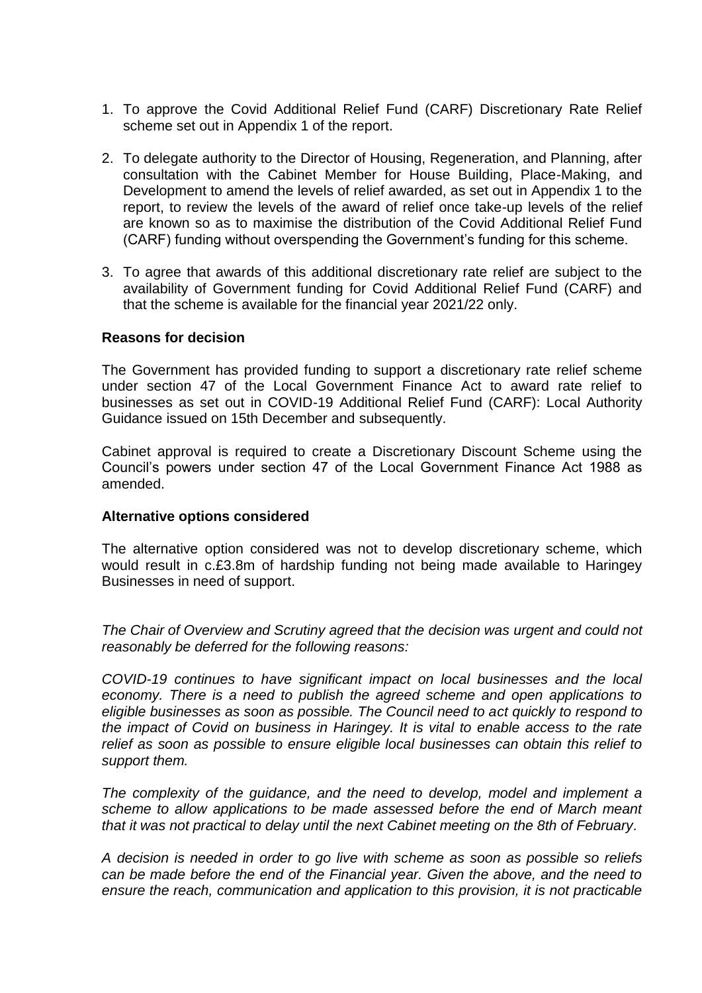- 1. To approve the Covid Additional Relief Fund (CARF) Discretionary Rate Relief scheme set out in Appendix 1 of the report.
- 2. To delegate authority to the Director of Housing, Regeneration, and Planning, after consultation with the Cabinet Member for House Building, Place-Making, and Development to amend the levels of relief awarded, as set out in Appendix 1 to the report, to review the levels of the award of relief once take-up levels of the relief are known so as to maximise the distribution of the Covid Additional Relief Fund (CARF) funding without overspending the Government's funding for this scheme.
- 3. To agree that awards of this additional discretionary rate relief are subject to the availability of Government funding for Covid Additional Relief Fund (CARF) and that the scheme is available for the financial year 2021/22 only.

### **Reasons for decision**

The Government has provided funding to support a discretionary rate relief scheme under section 47 of the Local Government Finance Act to award rate relief to businesses as set out in COVID-19 Additional Relief Fund (CARF): Local Authority Guidance issued on 15th December and subsequently.

Cabinet approval is required to create a Discretionary Discount Scheme using the Council's powers under section 47 of the Local Government Finance Act 1988 as amended.

### **Alternative options considered**

The alternative option considered was not to develop discretionary scheme, which would result in c.£3.8m of hardship funding not being made available to Haringey Businesses in need of support.

*The Chair of Overview and Scrutiny agreed that the decision was urgent and could not reasonably be deferred for the following reasons:*

*COVID-19 continues to have significant impact on local businesses and the local economy. There is a need to publish the agreed scheme and open applications to eligible businesses as soon as possible. The Council need to act quickly to respond to the impact of Covid on business in Haringey. It is vital to enable access to the rate relief as soon as possible to ensure eligible local businesses can obtain this relief to support them.*

*The complexity of the guidance, and the need to develop, model and implement a scheme to allow applications to be made assessed before the end of March meant that it was not practical to delay until the next Cabinet meeting on the 8th of February.*

*A decision is needed in order to go live with scheme as soon as possible so reliefs can be made before the end of the Financial year. Given the above, and the need to ensure the reach, communication and application to this provision, it is not practicable*